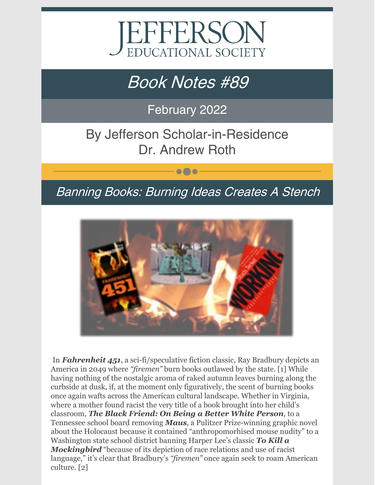

# Book Notes #89

February 2022

By Jefferson Scholar-in-Residence Dr. Andrew Roth

## Banning Books: Burning Ideas Creates A Stench

 $\bullet\bullet\bullet$ 



In *Fahrenheit 451*, a sci-fi/speculative fiction classic, Ray Bradbury depicts an America in 2049 where *"firemen"* burn books outlawed by the state. [1] While having nothing of the nostalgic aroma of raked autumn leaves burning along the curbside at dusk, if, at the moment only figuratively, the scent of burning books once again wafts across the American cultural landscape. Whether in Virginia, where a mother found racist the very title of a book brought into her child's classroom, *The Black Friend: On Being a Better White Person*, to a Tennessee school board removing *Maus*, a Pulitzer Prize-winning graphic novel about the Holocaust because it contained "anthropomorhised mouse nudity" to a Washington state school district banning Harper Lee's classic *To Kill a Mockingbird* "because of its depiction of race relations and use of racist language," it's clear that Bradbury's *"firemen"* once again seek to roam American culture. [2]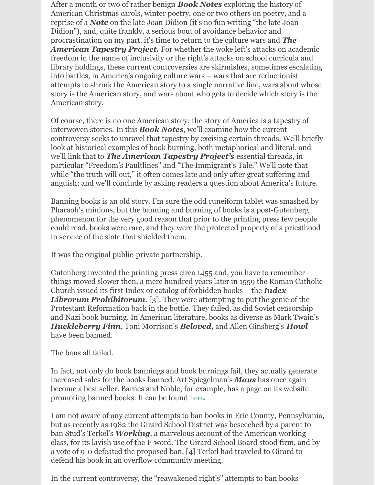After a month or two of rather benign *Book Notes* exploring the history of American Christmas carols, winter poetry, one or two others on poetry, and a reprise of a *Note* on the late Joan Didion (it's no fun writing "the late Joan Didion"), and, quite frankly, a serious bout of avoidance behavior and procrastination on my part, it's time to return to the culture wars and *The American Tapestry Project.* For whether the woke left's attacks on academic freedom in the name of inclusivity or the right's attacks on school curricula and library holdings, these current controversies are skirmishes, sometimes escalating into battles, in America's ongoing culture wars – wars that are reductionist attempts to shrink the American story to a single narrative line, wars about whose story is the American story, and wars about who gets to decide which story is the American story.

Of course, there is no one American story; the story of America is a tapestry of interwoven stories. In this *Book Notes*, we'll examine how the current controversy seeks to unravel that tapestry by excising certain threads. We'll briefly look at historical examples of book burning, both metaphorical and literal, and we'll link that to *The American Tapestry Project's* essential threads, in particular "Freedom's Faultlines" and "The Immigrant's Tale." We'll note that while "the truth will out," it often comes late and only after great suffering and anguish; and we'll conclude by asking readers a question about America's future.

Banning books is an old story. I'm sure the odd cuneiform tablet was smashed by Pharaoh's minions, but the banning and burning of books is a post-Gutenberg phenomenon for the very good reason that prior to the printing press few people could read, books were rare, and they were the protected property of a priesthood in service of the state that shielded them.

It was the original public-private partnership.

Gutenberg invented the printing press circa 1455 and, you have to remember things moved slower then, a mere hundred years later in 1559 the Roman Catholic Church issued its first Index or catalog of forbidden books – the *Index Librorum Prohibitorum*. [3]. They were attempting to put the genie of the Protestant Reformation back in the bottle. They failed, as did Soviet censorship and Nazi book burning. In American literature, books as diverse as Mark Twain's *Huckleberry Finn*, Toni Morrison's *Beloved,* and Allen Ginsberg's *Howl* have been banned.

#### The bans all failed.

In fact, not only do book bannings and book burnings fail, they actually generate increased sales for the books banned. Art Spiegelman's *Maus* has once again become a best seller. Barnes and Noble, for example, has a page on its website promoting banned books. It can be found [here](https://www.barnesandnoble.com/b/banned-books/_/N-rtm).

I am not aware of any current attempts to ban books in Erie County, Pennsylvania, but as recently as 1982 the Girard School District was beseeched by a parent to ban Stud's Terkel's *Working*, a marvelous account of the American working class, for its lavish use of the F-word. The Girard School Board stood firm, and by a vote of 9-0 defeated the proposed ban. [4] Terkel had traveled to Girard to defend his book in an overflow community meeting.

In the current controversy, the "reawakened right's" attempts to ban books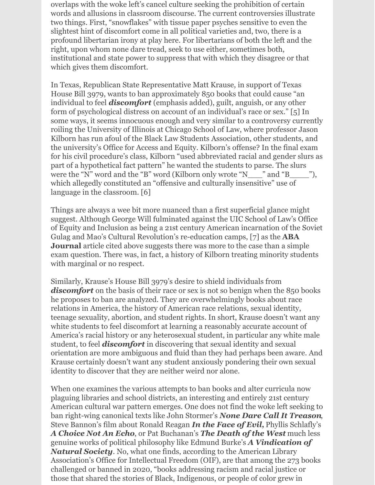overlaps with the woke left's cancel culture seeking the prohibition of certain words and allusions in classroom discourse. The current controversies illustrate two things. First, "snowflakes" with tissue paper psyches sensitive to even the slightest hint of discomfort come in all political varieties and, two, there is a profound libertarian irony at play here. For libertarians of both the left and the right, upon whom none dare tread, seek to use either, sometimes both, institutional and state power to suppress that with which they disagree or that which gives them discomfort.

In Texas, Republican State Representative Matt Krause, in support of Texas House Bill 3979, wants to ban approximately 850 books that could cause "an individual to feel *discomfort* (emphasis added), guilt, anguish, or any other form of psychological distress on account of an individual's race or sex." [5] In some ways, it seems innocuous enough and very similar to a controversy currently roiling the University of Illinois at Chicago School of Law, where professor Jason Kilborn has run afoul of the Black Law Students Association, other students, and the university's Office for Access and Equity. Kilborn's offense? In the final exam for his civil procedure's class, Kilborn "used abbreviated racial and gender slurs as part of a hypothetical fact pattern" he wanted the students to parse. The slurs were the "N" word and the "B" word (Kilborn only wrote "N\_\_\_" and "B\_\_\_\_"), which allegedly constituted an "offensive and culturally insensitive" use of language in the classroom. [6]

Things are always a wee bit more nuanced than a first superficial glance might suggest. Although George Will fulminated against the UIC School of Law's Office of Equity and Inclusion as being a 21st century American incarnation of the Soviet Gulag and Mao's Cultural Revolution's re-education camps, [7] as the **ABA Journal** article cited above suggests there was more to the case than a simple exam question. There was, in fact, a history of Kilborn treating minority students with marginal or no respect.

Similarly, Krause's House Bill 3979's desire to shield individuals from discomfort on the basis of their race or sex is not so benign when the 850 books he proposes to ban are analyzed. They are overwhelmingly books about race relations in America, the history of American race relations, sexual identity, teenage sexuality, abortion, and student rights. In short, Krause doesn't want any white students to feel discomfort at learning a reasonably accurate account of America's racial history or any heterosexual student, in particular any white male student, to feel *discomfort* in discovering that sexual identity and sexual orientation are more ambiguous and fluid than they had perhaps been aware. And Krause certainly doesn't want any student anxiously pondering their own sexual identity to discover that they are neither weird nor alone.

When one examines the various attempts to ban books and alter curricula now plaguing libraries and school districts, an interesting and entirely 21st century American cultural war pattern emerges. One does not find the woke left seeking to ban right-wing canonical texts like John Stormer's *None Dare Call It Treason*, Steve Bannon's film about Ronald Reagan *In the Face of Evil,* Phyllis Schlafly's *A Choice Not An Echo*, or Pat Buchanan's *The Death of the West* much less genuine works of political philosophy like Edmund Burke's *A Vindication of Natural Society*. No, what one finds, according to the American Library Association's Office for Intellectual Freedom (OIF), are that among the 273 books challenged or banned in 2020, "books addressing racism and racial justice or those that shared the stories of Black, Indigenous, or people of color grew in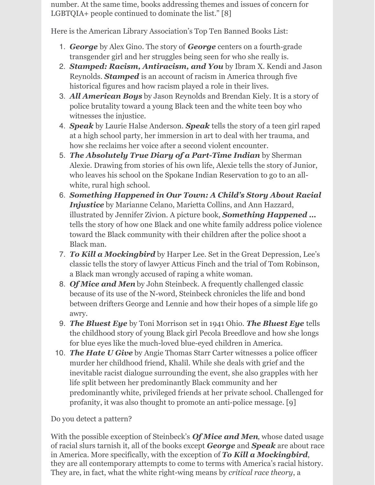number. At the same time, books addressing themes and issues of concern for LGBTQIA+ people continued to dominate the list." [8]

Here is the American Library Association's Top Ten Banned Books List:

- 1. *George* by Alex Gino. The story of *George* centers on a fourth-grade transgender girl and her struggles being seen for who she really is.
- 2. *Stamped: Racism, Antiracism, and You* by Ibram X. Kendi and Jason Reynolds. *Stamped* is an account of racism in America through five historical figures and how racism played a role in their lives.
- 3. *All American Boys* by Jason Reynolds and Brendan Kiely. It is a story of police brutality toward a young Black teen and the white teen boy who witnesses the injustice.
- 4. *Speak* by Laurie Halse Anderson. *Speak* tells the story of a teen girl raped at a high school party, her immersion in art to deal with her trauma, and how she reclaims her voice after a second violent encounter.
- 5. *The Absolutely True Diary of a Part-Time Indian* by Sherman Alexie. Drawing from stories of his own life, Alexie tells the story of Junior, who leaves his school on the Spokane Indian Reservation to go to an allwhite, rural high school.
- 6. *Something Happened in Our Town: A Child's Story About Racial Injustice* by Marianne Celano, Marietta Collins, and Ann Hazzard, illustrated by Jennifer Zivion. A picture book, *Something Happened …* tells the story of how one Black and one white family address police violence toward the Black community with their children after the police shoot a Black man.
- 7. *To Kill a Mockingbird* by Harper Lee. Set in the Great Depression, Lee's classic tells the story of lawyer Atticus Finch and the trial of Tom Robinson, a Black man wrongly accused of raping a white woman.
- 8. *Of Mice and Men* by John Steinbeck. A frequently challenged classic because of its use of the N-word, Steinbeck chronicles the life and bond between drifters George and Lennie and how their hopes of a simple life go awry.
- 9. *The Bluest Eye* by Toni Morrison set in 1941 Ohio. *The Bluest Eye* tells the childhood story of young Black girl Pecola Breedlove and how she longs for blue eyes like the much-loved blue-eyed children in America.
- 10. *The Hate U Give* by Angie Thomas Starr Carter witnesses a police officer murder her childhood friend, Khalil. While she deals with grief and the inevitable racist dialogue surrounding the event, she also grapples with her life split between her predominantly Black community and her predominantly white, privileged friends at her private school. Challenged for profanity, it was also thought to promote an anti-police message. [9]

Do you detect a pattern?

With the possible exception of Steinbeck's *Of Mice and Men*, whose dated usage of racial slurs tarnish it, all of the books except *George* and *Speak* are about race in America. More specifically, with the exception of *To Kill a Mockingbird*, they are all contemporary attempts to come to terms with America's racial history. They are, in fact, what the white right-wing means by *critical race theory*, a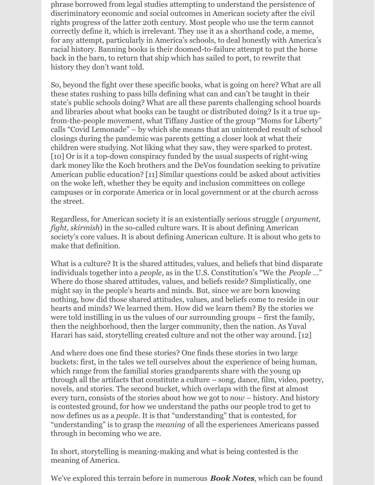phrase borrowed from legal studies attempting to understand the persistence of discriminatory economic and social outcomes in American society after the civil rights progress of the latter 20th century. Most people who use the term cannot correctly define it, which is irrelevant. They use it as a shorthand code, a meme, for any attempt, particularly in America's schools, to deal honestly with America's racial history. Banning books is their doomed-to-failure attempt to put the horse back in the barn, to return that ship which has sailed to port, to rewrite that history they don't want told.

So, beyond the fight over these specific books, what is going on here? What are all these states rushing to pass bills defining what can and can't be taught in their state's public schools doing? What are all these parents challenging school boards and libraries about what books can be taught or distributed doing? Is it a true upfrom-the-people movement, what Tiffany Justice of the group "Moms for Liberty" calls "Covid Lemonade" – by which she means that an unintended result of school closings during the pandemic was parents getting a closer look at what their children were studying. Not liking what they saw, they were sparked to protest. [10] Or is it a top-down conspiracy funded by the usual suspects of right-wing dark money like the Koch brothers and the DeVos foundation seeking to privatize American public education? [11] Similar questions could be asked about activities on the woke left, whether they be equity and inclusion committees on college campuses or in corporate America or in local government or at the church across the street.

Regardless, for American society it is an existentially serious struggle ( *argument, fight, skirmish*) in the so-called culture wars. It is about defining American society's core values. It is about defining American culture. It is about who gets to make that definition.

What is a culture? It is the shared attitudes, values, and beliefs that bind disparate individuals together into a *people*, as in the U.S. Constitution's "We the *People* …" Where do those shared attitudes, values, and beliefs reside? Simplistically, one might say in the people's hearts and minds. But, since we are born knowing nothing, how did those shared attitudes, values, and beliefs come to reside in our hearts and minds? We learned them. How did we learn them? By the stories we were told instilling in us the values of our surrounding groups – first the family, then the neighborhood, then the larger community, then the nation. As Yuval Harari has said, storytelling created culture and not the other way around. [12]

And where does one find these stories? One finds these stories in two large buckets: first, in the tales we tell ourselves about the experience of being human, which range from the familial stories grandparents share with the young up through all the artifacts that constitute a culture – song, dance, film, video, poetry, novels, and stories. The second bucket, which overlaps with the first at almost every turn, consists of the stories about how we got to *now* – history. And history is contested ground, for how we understand the paths our people trod to get to now defines us as a *people*. It is that "understanding" that is contested, for "understanding" is to grasp the *meaning* of all the experiences Americans passed through in becoming who we are.

In short, storytelling is meaning-making and what is being contested is the meaning of America.

We've explored this terrain before in numerous *Book Notes,* which can be found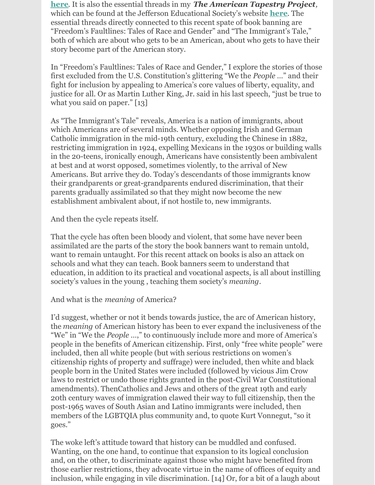**[here](https://www.jeserie.org/book notes)**. It is also the essential threads in my *The American Tapestry Project,* which can be found at the Jefferson Educational Society's website **[here](https://www.jeserie.org/american-tapestry and at WQLN NPR1 here https:/www.wqln.org/Listen/Podcasts/The-American-Tapestry-Project)**. The essential threads directly connected to this recent spate of book banning are "Freedom's Faultlines: Tales of Race and Gender" and "The Immigrant's Tale," both of which are about who gets to be an American, about who gets to have their story become part of the American story.

In "Freedom's Faultlines: Tales of Race and Gender," I explore the stories of those first excluded from the U.S. Constitution's glittering "We the *People* …" and their fight for inclusion by appealing to America's core values of liberty, equality, and justice for all. Or as Martin Luther King, Jr. said in his last speech, "just be true to what you said on paper." [13]

As "The Immigrant's Tale" reveals, America is a nation of immigrants, about which Americans are of several minds. Whether opposing Irish and German Catholic immigration in the mid-19th century, excluding the Chinese in 1882, restricting immigration in 1924, expelling Mexicans in the 1930s or building walls in the 20-teens, ironically enough, Americans have consistently been ambivalent at best and at worst opposed, sometimes violently, to the arrival of New Americans. But arrive they do. Today's descendants of those immigrants know their grandparents or great-grandparents endured discrimination, that their parents gradually assimilated so that they might now become the new establishment ambivalent about, if not hostile to, new immigrants.

And then the cycle repeats itself.

That the cycle has often been bloody and violent, that some have never been assimilated are the parts of the story the book banners want to remain untold, want to remain untaught. For this recent attack on books is also an attack on schools and what they can teach. Book banners seem to understand that education, in addition to its practical and vocational aspects, is all about instilling society's values in the young , teaching them society's *meaning*.

#### And what is the *meaning* of America?

I'd suggest, whether or not it bends towards justice, the arc of American history, the *meaning* of American history has been to ever expand the inclusiveness of the "We" in "We the *People* …," to continuously include more and more of America's people in the benefits of American citizenship. First, only "free white people" were included, then all white people (but with serious restrictions on women's citizenship rights of property and suffrage) were included, then white and black people born in the United States were included (followed by vicious Jim Crow laws to restrict or undo those rights granted in the post-Civil War Constitutional amendments). ThenCatholics and Jews and others of the great 19th and early 20th century waves of immigration clawed their way to full citizenship, then the post-1965 waves of South Asian and Latino immigrants were included, then members of the LGBTQIA plus community and, to quote Kurt Vonnegut, "so it goes."

The woke left's attitude toward that history can be muddled and confused. Wanting, on the one hand, to continue that expansion to its logical conclusion and, on the other, to discriminate against those who might have benefited from those earlier restrictions, they advocate virtue in the name of offices of equity and inclusion, while engaging in vile discrimination. [14] Or, for a bit of a laugh about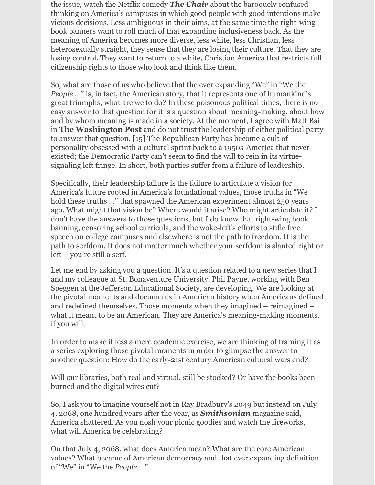the issue, watch the Netflix comedy *The Chair* about the baroquely confused thinking on America's campuses in which good people with good intentions make vicious decisions. Less ambiguous in their aims, at the same time the right-wing book banners want to roll much of that expanding inclusiveness back. As the meaning of America becomes more diverse, less white, less Christian, less heterosexually straight, they sense that they are losing their culture. That they are losing control. They want to return to a white, Christian America that restricts full citizenship rights to those who look and think like them.

So, what are those of us who believe that the ever expanding "We" in "We the *People* ..." is, in fact, the American story, that it represents one of humankind's great triumphs, what are we to do? In these poisonous political times, there is no easy answer to that question for it is a question about meaning-making, about how and by whom meaning is made in a society. At the moment, I agree with Matt Bai in **The Washington Post** and do not trust the leadership of either political party to answer that question. [15] The Republican Party has become a cult of personality obsessed with a cultural sprint back to a 1950s-America that never existed; the Democratic Party can't seem to find the will to rein in its virtuesignaling left fringe. In short, both parties suffer from a failure of leadership.

Specifically, their leadership failure is the failure to articulate a vision for America's future rooted in America's foundational values, those truths in "We hold these truths …" that spawned the American experiment almost 250 years ago. What might that vision be? Where would it arise? Who might articulate it? I don't have the answers to those questions, but I do know that right-wing book banning, censoring school curricula, and the woke-left's efforts to stifle free speech on college campuses and elsewhere is not the path to freedom. It is the path to serfdom. It does not matter much whether your serfdom is slanted right or left – you're still a serf.

Let me end by asking you a question. It's a question related to a new series that I and my colleague at St. Bonaventure University, Phil Payne, working with Ben Speggen at the Jefferson Educational Society, are developing. We are looking at the pivotal moments and documents in American history when Americans defined and redefined themselves. Those moments when they imagined – reimagined – what it meant to be an American. They are America's meaning-making moments, if you will.

In order to make it less a mere academic exercise, we are thinking of framing it as a series exploring those pivotal moments in order to glimpse the answer to another question: How do the early-21st century American cultural wars end?

Will our libraries, both real and virtual, still be stocked? Or have the books been burned and the digital wires cut?

So, I ask you to imagine yourself not in Ray Bradbury's 2049 but instead on July 4, 2068, one hundred years after the year, as *Smithsonian* magazine said, America shattered. As you nosh your picnic goodies and watch the fireworks, what will America be celebrating?

On that July 4, 2068, what does America mean? What are the core American values? What became of American democracy and that ever expanding definition of "We" in "We the *People* …"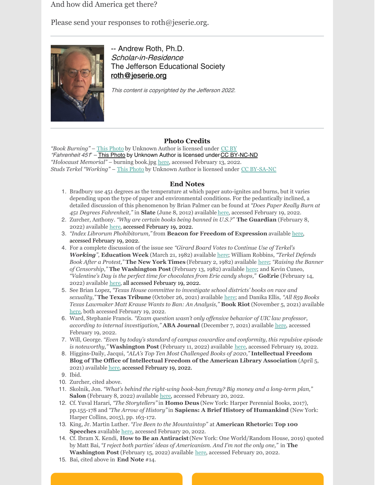And how did America get there?

Please send your responses to roth@jeserie.org.



-- Andrew Roth, Ph.D. Scholar-in-Residence The Jefferson Educational Society [roth@jeserie.org](mailto:roth@jeserie.org)

This content is copyrighted by the Jefferson 2022.

#### **Photo Credits**

*"Book Burning"* – This [Photo](https://www.psychodreamtheater.org/rivista-passparnous-ndeg-20---cinema---fahrenheit-451-lrsquoinferno-di-una-quotidiana-distopia---un-film-di-francois-truffaut--un-articolo-di-daniel-montigiani.html) by Unknown Author is licensed under [CC](https://creativecommons.org/licenses/by/3.0/) BY "Fahrenheit 451" - This [Photo](http://www.mentesliberadas.com.ar/2012/11/15/fahrenheit-451-de-ray-bradbury/) by Unknown Author is licensed under CC [BY-NC-ND](https://creativecommons.org/licenses/by-nc-nd/3.0/) *"Holocaust Memorial"* – burning book.jpg [here](https://commons.wikimedia.org/wiki/File:Holocaust_Memorial_-_burning_book.jpg), accessed February 13, 2022. *Studs Terkel "Working"* – This [Photo](http://nielsenhayden.com/makinglight/archives/2008_11.html) by Unknown Author is licensed under CC [BY-SA-NC](https://creativecommons.org/licenses/by-nc-sa/3.0/)

#### **End Notes**

- 1. Bradbury use 451 degrees as the temperature at which paper auto-ignites and burns, but it varies depending upon the type of paper and environmental conditions. For the pedantically inclined, a detailed discussion of this phenomenon by Brian Palmer can be found at *"Does Paper Really Burn at 451 Degrees Fahrenheit,"* in **Slate** (June 8, 2012) available [here](https://slate.com/technology/2012/06/ray-bradbury-death-does-paper-really-burn-at-451-degrees-fahrenheit.html#:~:text=Although paper ignites at around,between 600 and 800 degrees), accessed February 19, 2022.
- 2. Zurcher, Anthony. *"Why are certain books being banned in U.S.?"* **The Guardian** (February 8, 2022) available [here](https://www.bbc.com/news/world-us-canada-60261660), accessed February 19, 2022.
- 3. *"Index Librorum Phohibitorum,"* from **Beacon for Freedom of Expression** available [here](http://www.beaconforfreedom.org/liste.html?tid=415&art_id=556), accessed February 19, 2022.
- 4. For a complete discussion of the issue see *"Girard Board Votes to Continue Use of Terkel's Working",* **Education Week** (March 21, 1982) available [here](https://www.edweek.org/education/girard-board-votes-to-continue-use-of-terkels-working/1982/03); William Robbins, *"Terkel Defends Book After a Protest,"* **The New York Times** (February 2, 1982) available [here](https://archive.nytimes.com/www.nytimes.com/books/99/09/26/specials/terkel-protest.html); *"Raising the Banner of Censorship,"* **The Washington Post** (February 13, 1982) available [here](https://www.washingtonpost.com/archive/politics/1982/02/13/raising-the-banner-of-censorship/341b6e5f-5338-44ee-b7e0-3146255e536d/); and Kevin Cuneo, *"Valentine's Day is the perfect time for chocolates from Erie candy shops,"* **GoErie** (February 14, 2022) available [here](https://www.goerie.com/story/opinion/2022/02/14/kevin-cuneo-cleveland-guardians-remembering-sarah-miller-darrell-knopfel/6723035001/), all accessed February 19, 2022.
- 5. See Brian Lopez, *"Texas House committee to investigate school districts' books on race and sexuality,"* **The Texas Tribune** (October 26, 2021) available [here](https://www.texastribune.org/2021/10/26/texas-school-books-race-sexuality/); and Danika Ellis, *"All 859 Books Texas Lawmaker Matt Krause Wants to Ban: An Analysis,"* **Book Riot** (November 5, 2021) available [here](https://bookriot.com/texas-book-ban-list/), both accessed February 19, 2022.
- 6. Ward, Stephanie Francis. *"Exam question wasn't only of ensive behavior of UIC law professor, according to internal investigation,"* **ABA Journal** (December 7, 2021) available [here](https://www.abajournal.com/web/article/exam-question-wasnt-only-offensive-behavior-of-uic-law-professor-according-to-internal-investigation#:~:text=Over the past year%2C various,a civil procedure final exam), accessed February 19, 2022.
- 7. Will, George. *"Even by today's standard of campus cowardice and conformity, this repulsive episode is noteworthy,"* **Washington Post** (February 11, 2022) available [here](https://www.washingtonpost.com/opinions/2022/02/11/university-illinois-chicago-cowardice/), accessed February 19, 2022.
- 8. Higgins-Daily, Jacqui, *"ALA's Top Ten Most Challenged Books of 2020,"* **Intellectual Freedom Blog of The Office of Intellectual Freedom of the American Library Association** (April 5, 2021) available [here](https://www.oif.ala.org/oif/alas-top-ten-most-challenged-books-of-2020/#:~:text=In 2020%2C more than 273,of color grew in number), accessed February 19, 2022.

9. Ibid.

- 10. Zurcher, cited above.
- 11. Skolnik, Jon. *"What's behind the right-wing book-ban frenzy? Big money and a long-term plan,"* **Salon** (February 8, 2022) available [here](https://www.salon.com/2022/02/08/whats-behind-the-right-wing-book-ban-frenzy-big-money-and-a-long-term-plan/), accessed February 20, 2022.
- 12. Cf. Yuval Harari, *"The Storytellers"* in **Homo Deus** (New York: Harper Perennial Books, 2017), pp.155-178 and *"The Arrow of History"*in **Sapiens: A Brief History of Humankind** (New York: Harper Collins, 2015), pp. 163-172.
- 13. King, Jr. Martin Luther. *"I've Been to the Mountaintop"* at **American Rhetoric: Top 100 Speeches** available [here](https://www.americanrhetoric.com/speeches/mlkivebeentothemountaintop.htm), accessed February 20, 2022.
- 14. Cf. Ibram X. Kendi, **How to Be an Antiracist**(New York: One World/Random House, 2019) quoted by Matt Bai, *"I reject both parties' ideas of Americanism. And I'm not the only one,"* in **The Washington Post** (February 15, 2022) available [here](https://www.washingtonpost.com/opinions/2022/02/15/both-parties-extreme-ideas-repel-center-matt-bai/), accessed February 20, 2022.
- 15. Bai, cited above in **End Note** #14.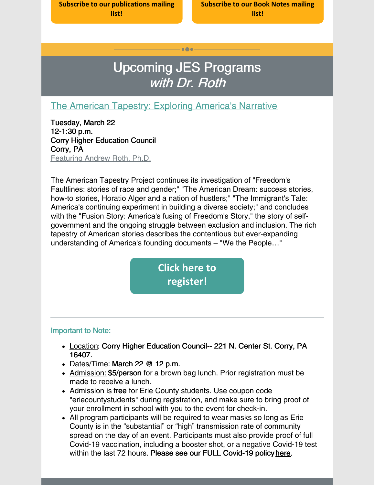**Subscribe to our [publications](https://lp.constantcontactpages.com/su/OYSOPRt/PublicationsSubscription?source_id=6c8cf152-2400-48df-8d94-2ff11fce1b94&source_type=em&c=) mailing list!**

**[Subscribe](https://lp.constantcontactpages.com/su/TXbaxH2/BookNotesSubscription?source_id=6c8cf152-2400-48df-8d94-2ff11fce1b94&source_type=em&c=) to our Book Notes mailing list!**

# Upcoming JES Programs with Dr. Roth

 $\bullet\bullet\bullet$ 

### The American Tapestry: Exploring [America's](https://www.jeserie.org/events/details/the-american-tapestry-exploring-americas-narrative) Narrative

Tuesday, March 22 12-1:30 p.m. Corry Higher Education Council Corry, PA Featuring Andrew Roth, Ph.D.

The American Tapestry Project continues its investigation of "Freedom's Faultlines: stories of race and gender;" "The American Dream: success stories, how-to stories, Horatio Alger and a nation of hustlers;" "The Immigrant's Tale: America's continuing experiment in building a diverse society;" and concludes with the "Fusion Story: America's fusing of Freedom's Story," the story of selfgovernment and the ongoing struggle between exclusion and inclusion. The rich tapestry of American stories describes the contentious but ever-expanding understanding of America's founding documents – "We the People…"

> **Click here to [register!](https://www.jeserie.org/events/details/the-american-tapestry-exploring-americas-narrative)**

#### Important to Note:

- Location: Corry Higher Education Council-- 221 N. Center St. Corry, PA 16407.
- Dates/Time: March 22 @ 12 p.m.
- Admission: \$5/person for a brown bag lunch. Prior registration must be made to receive a lunch.
- Admission is free for Erie County students. Use coupon code "eriecountystudents" during registration, and make sure to bring proof of your enrollment in school with you to the event for check-in.
- All program participants will be required to wear masks so long as Erie County is in the "substantial" or "high" transmission rate of community spread on the day of an event. Participants must also provide proof of full Covid-19 vaccination, including a booster shot, or a negative Covid-19 test within the last 72 hours. Please see our FULL Covid-19 policy [here](https://linkprotect.cudasvc.com/url?a=https%3a%2f%2fwww.jeserie.org%2fabout%2fcovid-policy&c=E,1,yIiinzkmHlv4GeC5STwPDu4lwnSOUgP-s16iJxy0kcfAKTFd9PGr4ZnrJYa8MeIw8ccAeGtBk-SckRZ2dU9AUppcx4adXMYWc-bYFmqC0eR8utfkX98,&typo=1).